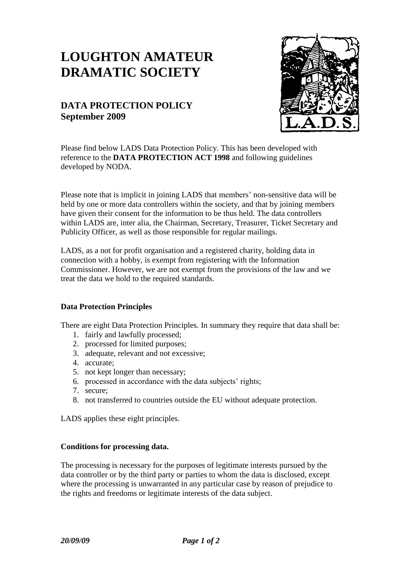# **LOUGHTON AMATEUR DRAMATIC SOCIETY**

# **DATA PROTECTION POLICY September 2009**



Please find below LADS Data Protection Policy. This has been developed with reference to the **DATA PROTECTION ACT 1998** and following guidelines developed by NODA.

Please note that is implicit in joining LADS that members' non-sensitive data will be held by one or more data controllers within the society, and that by joining members have given their consent for the information to be thus held. The data controllers within LADS are, inter alia, the Chairman, Secretary, Treasurer, Ticket Secretary and Publicity Officer, as well as those responsible for regular mailings.

LADS, as a not for profit organisation and a registered charity, holding data in connection with a hobby, is exempt from registering with the Information Commissioner. However, we are not exempt from the provisions of the law and we treat the data we hold to the required standards.

#### **Data Protection Principles**

There are eight Data Protection Principles. In summary they require that data shall be:

- 1. fairly and lawfully processed;
- 2. processed for limited purposes;
- 3. adequate, relevant and not excessive;
- 4. accurate;
- 5. not kept longer than necessary;
- 6. processed in accordance with the data subjects' rights;
- 7. secure;
- 8. not transferred to countries outside the EU without adequate protection.

LADS applies these eight principles.

#### **Conditions for processing data.**

The processing is necessary for the purposes of legitimate interests pursued by the data controller or by the third party or parties to whom the data is disclosed, except where the processing is unwarranted in any particular case by reason of prejudice to the rights and freedoms or legitimate interests of the data subject.